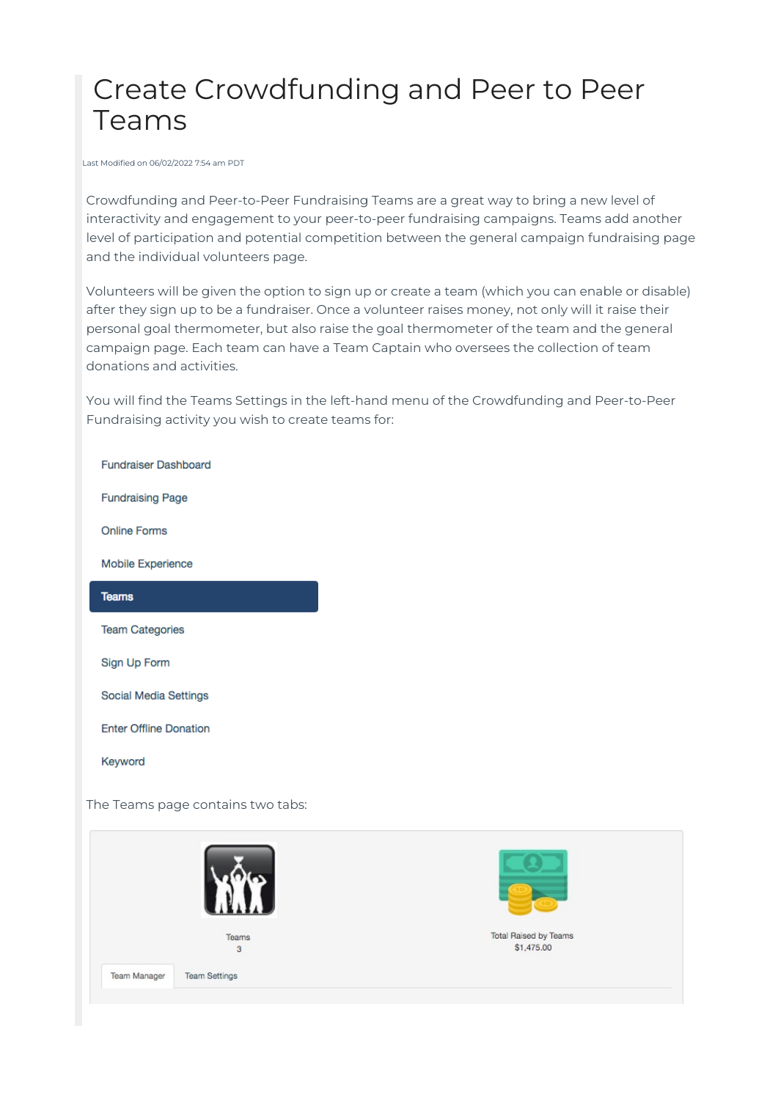# Create Crowdfunding and Peer to Peer Teams

Last Modified on 06/02/2022 7:54 am PDT

Crowdfunding and Peer-to-Peer Fundraising Teams are a great way to bring a new level of interactivity and engagement to your peer-to-peer fundraising campaigns. Teams add another level of participation and potential competition between the general campaign fundraising page and the individual volunteers page.

Volunteers will be given the option to sign up or create a team (which you can enable or disable) after they sign up to be a fundraiser. Once a volunteer raises money, not only will it raise their personal goal thermometer, but also raise the goal thermometer of the team and the general campaign page. Each team can have a Team Captain who oversees the collection of team donations and activities.

You will find the Teams Settings in the left-hand menu of the Crowdfunding and Peer-to-Peer Fundraising activity you wish to create teams for:

**Fundraiser Dashboard** 

**Fundraising Page** 

Online Forms

Mobile Experience

#### **Teams**

**Team Categories** 

Sign Up Form

**Social Media Settings** 

**Enter Offline Donation** 

Keyword

The Teams page contains two tabs:

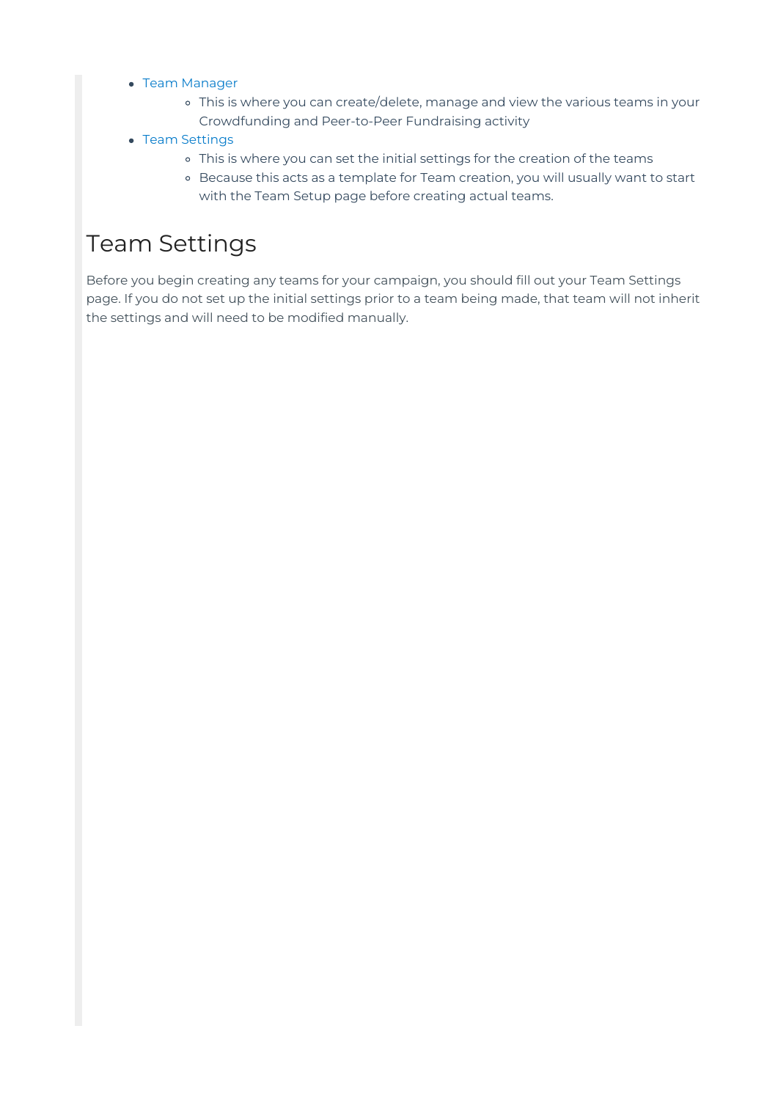- Team [Manager](http://support.mobilecause.com/#Manager)
	- This is where you can create/delete, manage and view the various teams in your Crowdfunding and Peer-to-Peer Fundraising activity
- Team [Settings](http://support.mobilecause.com/#Settings)
	- This is where you can set the initial settings for the creation of the teams
	- Because this acts as a template for Team creation, you will usually want to start with the Team Setup page before creating actual teams.

## Team Settings

Before you begin creating any teams for your campaign, you should fill out your Team Settings page. If you do not set up the initial settings prior to a team being made, that team will not inherit the settings and will need to be modified manually.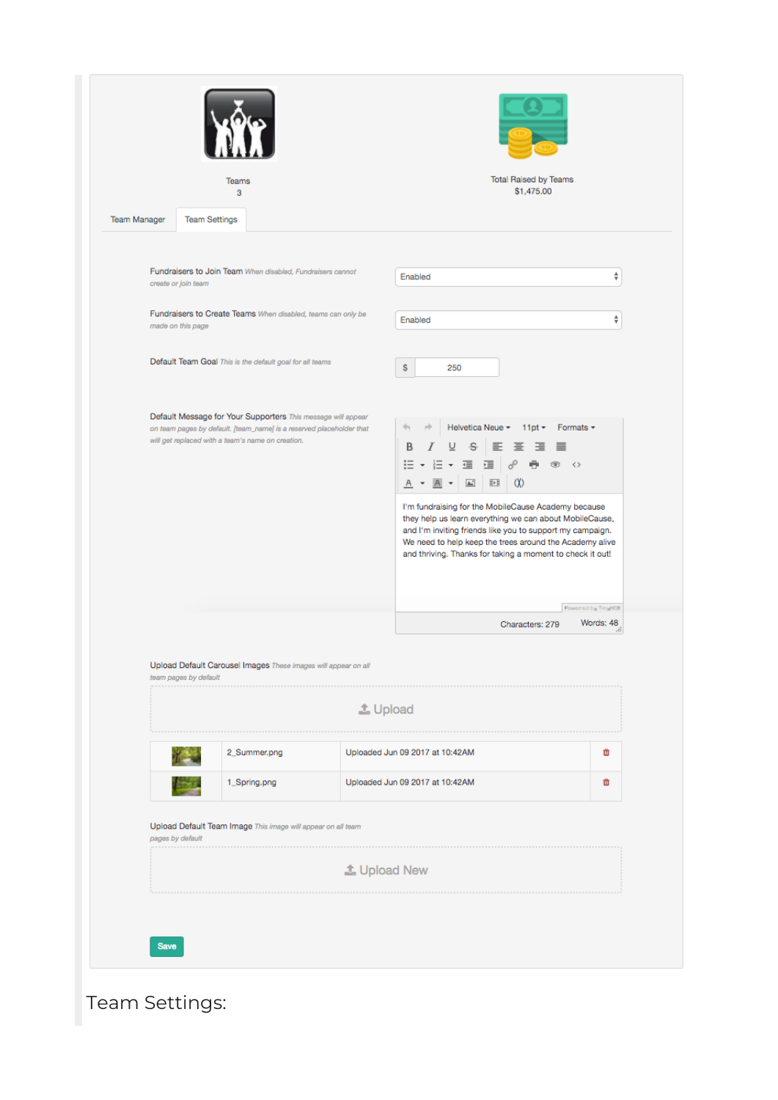|                     | Teams<br>3                                                                                                                                                                                                                                                                           |                     | <b>Total Raised by Teams</b><br>\$1,475.00                                                                                                                                                                                                                                                                                                                                                                                                                                                               |                                 |
|---------------------|--------------------------------------------------------------------------------------------------------------------------------------------------------------------------------------------------------------------------------------------------------------------------------------|---------------------|----------------------------------------------------------------------------------------------------------------------------------------------------------------------------------------------------------------------------------------------------------------------------------------------------------------------------------------------------------------------------------------------------------------------------------------------------------------------------------------------------------|---------------------------------|
| <b>Team Manager</b> | <b>Team Settings</b>                                                                                                                                                                                                                                                                 |                     |                                                                                                                                                                                                                                                                                                                                                                                                                                                                                                          |                                 |
|                     | Fundraisers to Join Team When disabled, Fundraisers cannot<br>create or join team                                                                                                                                                                                                    |                     | Enabled                                                                                                                                                                                                                                                                                                                                                                                                                                                                                                  | ÷                               |
|                     | Fundraisers to Create Teams When disabled, teams can only be<br>made on this page                                                                                                                                                                                                    |                     | Enabled                                                                                                                                                                                                                                                                                                                                                                                                                                                                                                  | ÷                               |
|                     | Default Team Goal This is the default goal for all teams                                                                                                                                                                                                                             |                     | s<br>250                                                                                                                                                                                                                                                                                                                                                                                                                                                                                                 |                                 |
|                     | Default Message for Your Supporters This message will appear<br>on team pages by default. [team_name] is a reserved placeholder that<br>will get replaced with a team's name on creation.<br>Upload Default Carousel Images These images will appear on all<br>team pages by default | <b>上 Upload</b>     | Helvetica Neue -<br>$11pt -$<br>Formats $\sim$<br>В<br>-S<br>$\mathcal{S}$<br>Ξ<br>這<br>疍<br>垣<br>÷<br>$\leftrightarrow$<br>$\pmb{\cdot}$<br>☜<br><br>眄<br>$\Delta\omega$<br>Α<br>I'm fundraising for the MobileCause Academy because<br>they help us learn everything we can about MobileCause,<br>and I'm inviting friends like you to support my campaign.<br>We need to help keep the trees around the Academy alive<br>and thriving. Thanks for taking a moment to check it out!<br>Characters: 279 | Powered by TinyNCE<br>Words: 48 |
|                     |                                                                                                                                                                                                                                                                                      |                     |                                                                                                                                                                                                                                                                                                                                                                                                                                                                                                          |                                 |
|                     | 2_Summer.png                                                                                                                                                                                                                                                                         |                     | Uploaded Jun 09 2017 at 10:42AM                                                                                                                                                                                                                                                                                                                                                                                                                                                                          | 亩                               |
|                     | 1_Spring.png                                                                                                                                                                                                                                                                         |                     | Uploaded Jun 09 2017 at 10:42AM                                                                                                                                                                                                                                                                                                                                                                                                                                                                          | 茴                               |
| .                   | Upload Default Team Image This image will appear on all team<br>pages by default                                                                                                                                                                                                     |                     |                                                                                                                                                                                                                                                                                                                                                                                                                                                                                                          |                                 |
|                     |                                                                                                                                                                                                                                                                                      | <b>4</b> Upload New |                                                                                                                                                                                                                                                                                                                                                                                                                                                                                                          |                                 |
|                     |                                                                                                                                                                                                                                                                                      |                     |                                                                                                                                                                                                                                                                                                                                                                                                                                                                                                          |                                 |
| <b>Save</b>         |                                                                                                                                                                                                                                                                                      |                     |                                                                                                                                                                                                                                                                                                                                                                                                                                                                                                          |                                 |

Team Settings: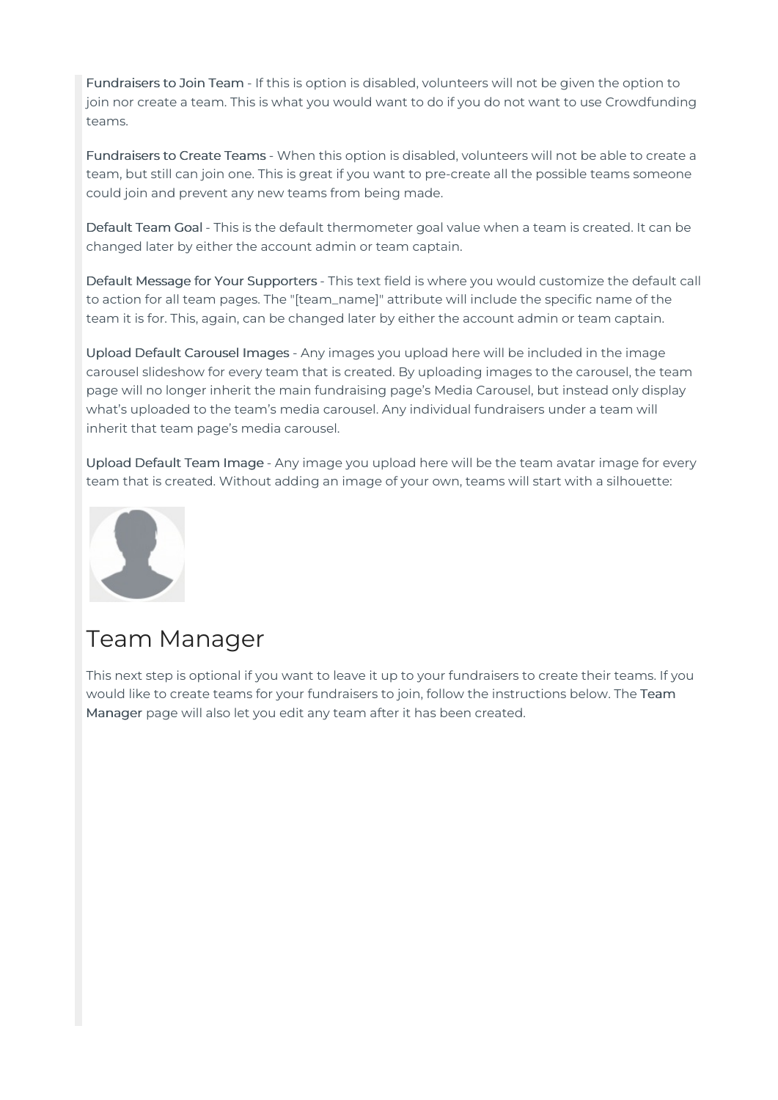Fundraisers to Join Team - If this is option is disabled, volunteers will not be given the option to join nor create a team. This is what you would want to do if you do not want to use Crowdfunding teams.

Fundraisers to Create Teams - When this option is disabled, volunteers will not be able to create a team, but still can join one. This is great if you want to pre-create all the possible teams someone could join and prevent any new teams from being made.

Default Team Goal - This is the default thermometer goal value when a team is created. It can be changed later by either the account admin or team captain.

Default Message for Your Supporters - This text field is where you would customize the default call to action for all team pages. The "[team\_name]" attribute will include the specific name of the team it is for. This, again, can be changed later by either the account admin or team captain.

Upload Default Carousel Images - Any images you upload here will be included in the image carousel slideshow for every team that is created. By uploading images to the carousel, the team page will no longer inherit the main fundraising page's Media Carousel, but instead only display what's uploaded to the team's media carousel. Any individual fundraisers under a team will inherit that team page's media carousel.

Upload Default Team Image - Any image you upload here will be the team avatar image for every team that is created. Without adding an image of your own, teams will start with a silhouette:



### Team Manager

This next step is optional if you want to leave it up to your fundraisers to create their teams. If you would like to create teams for your fundraisers to join, follow the instructions below. The Team Manager page will also let you edit any team after it has been created.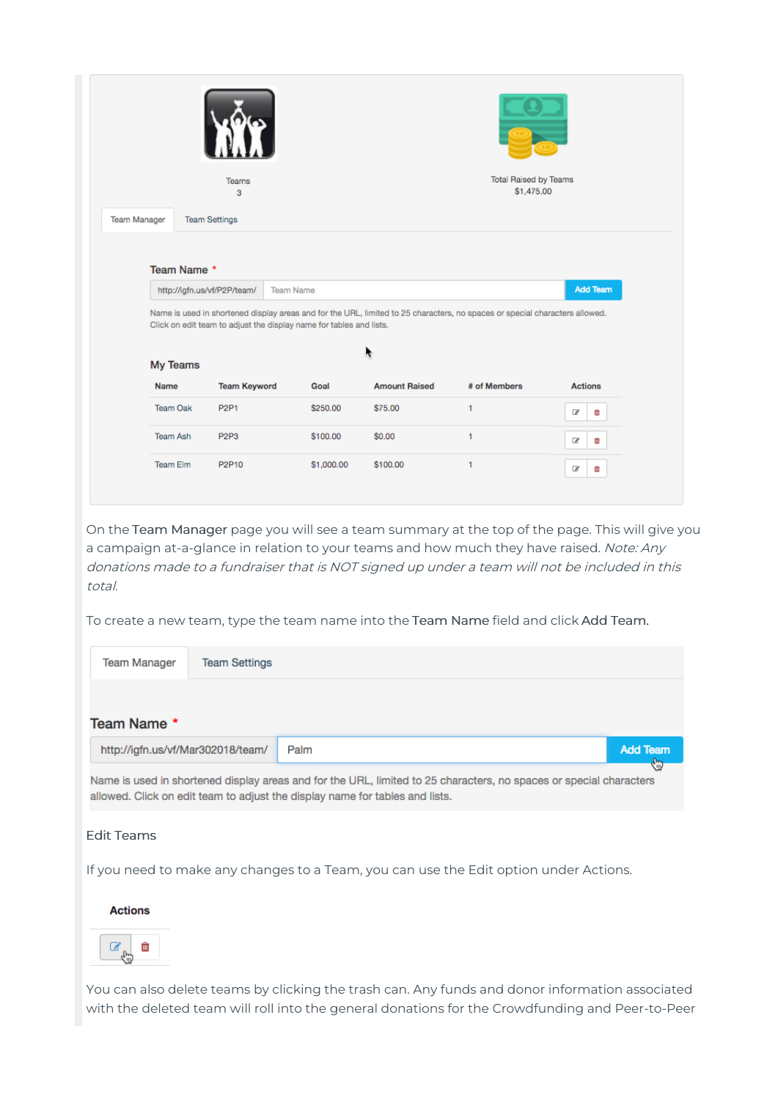|                     |                         | Teams<br>з                  |                                                                                                                                                                                                                                                                                                |                      | <b>Total Raised by Teams</b><br>\$1,475.00 |                 |  |
|---------------------|-------------------------|-----------------------------|------------------------------------------------------------------------------------------------------------------------------------------------------------------------------------------------------------------------------------------------------------------------------------------------|----------------------|--------------------------------------------|-----------------|--|
| <b>Team Manager</b> |                         | <b>Team Settings</b>        |                                                                                                                                                                                                                                                                                                |                      |                                            |                 |  |
|                     | Team Name *<br>My Teams | http://igfn.us/vf/P2P/team/ | <b>Team Name</b><br>Name is used in shortened display areas and for the URL, limited to 25 characters, no spaces or special characters allowed.<br>Click on edit team to adjust the display name for tables and lists.                                                                         |                      |                                            | <b>Add Team</b> |  |
|                     | <b>Name</b>             | <b>Team Keyword</b>         | Goal                                                                                                                                                                                                                                                                                           | <b>Amount Raised</b> | # of Members                               | <b>Actions</b>  |  |
|                     | <b>Team Oak</b>         | <b>P2P1</b>                 | \$250.00                                                                                                                                                                                                                                                                                       | \$75.00              | 1                                          | œ<br>m          |  |
|                     | <b>Team Ash</b>         | P <sub>2P3</sub>            | \$100.00                                                                                                                                                                                                                                                                                       | \$0.00               | 1                                          | œ<br>m          |  |
|                     | <b>Team Elm</b>         | P2P10                       | \$1,000.00                                                                                                                                                                                                                                                                                     | \$100.00             | 1                                          | œ<br>ŵ          |  |
| total.              |                         |                             | On the Team Manager page you will see a team summary at the top of the page. This will give you<br>a campaign at-a-glance in relation to your teams and how much they have raised. Note: Any<br>donations made to a fundraiser that is NOT signed up under a team will not be included in this |                      |                                            |                 |  |

To create a new team, type the team name into the Team Name field and click Add Team.

| Team Manager                      | <b>Team Settings</b> |                                                                                                                                                                                                    |                 |
|-----------------------------------|----------------------|----------------------------------------------------------------------------------------------------------------------------------------------------------------------------------------------------|-----------------|
| Team Name *                       |                      |                                                                                                                                                                                                    |                 |
| http://igfn.us/vf/Mar302018/team/ |                      | Palm                                                                                                                                                                                               | <b>Add Team</b> |
|                                   |                      | Name is used in shortened display areas and for the URL, limited to 25 characters, no spaces or special characters<br>allowed. Click on edit team to adjust the display name for tables and lists. | <b>Rip</b>      |

### Edit Teams

If you need to make any changes to a Team, you can use the Edit option under Actions.

### **Actions**



You can also delete teams by clicking the trash can. Any funds and donor information associated with the deleted team will roll into the general donations for the Crowdfunding and Peer-to-Peer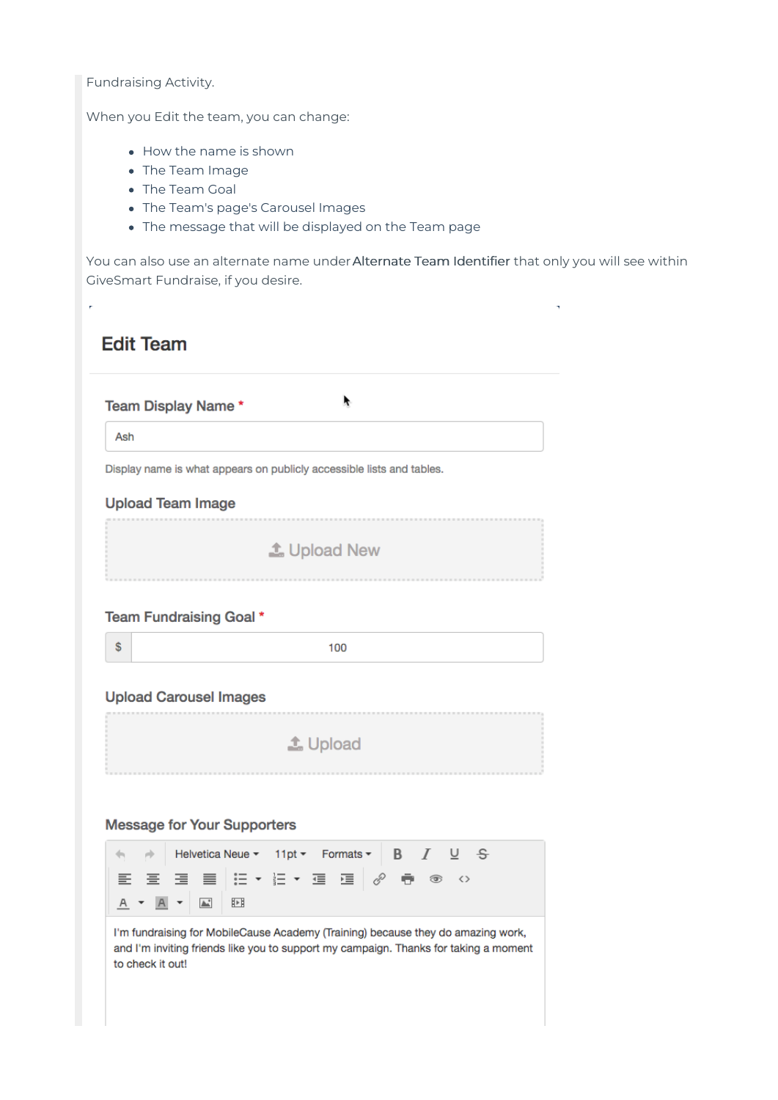Fundraising Activity.

 $\bar{r}$ 

When you Edit the team, you can change:

- How the name is shown
- The Team Image
- The Team Goal
- The Team's page's Carousel Images
- The message that will be displayed on the Team page

You can also use an alternate name under Alternate Team Identifier that only you will see within GiveSmart Fundraise, if you desire.

J.

| <b>Edit Team</b>                                                      |
|-----------------------------------------------------------------------|
| Team Display Name*                                                    |
| Ash                                                                   |
| Display name is what appears on publicly accessible lists and tables. |
| <b>Upload Team Image</b>                                              |
| <b>主 Upload New</b>                                                   |
| Team Fundraising Goal *                                               |
| \$<br>100                                                             |
| <b>Upload Carousel Images</b>                                         |
| <b>上</b> Upload                                                       |
|                                                                       |

### **Message for Your Supporters**



I'm fundraising for MobileCause Academy (Training) because they do amazing work, and I'm inviting friends like you to support my campaign. Thanks for taking a moment to check it out!